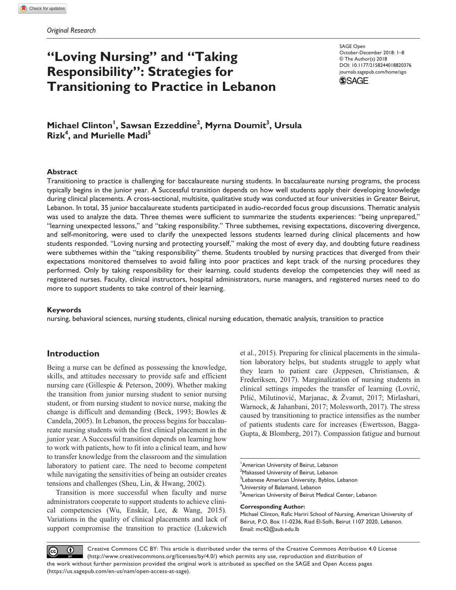# **"Loving Nursing" and "Taking Responsibility": Strategies for Transitioning to Practice in Lebanon**

DOI: 10.1177/2158244018820376 SAGE Open October-December 2018: 1–8 © The Author(s) 2018 [journals.sagepub.com/home/sgo](https://journals.sagepub.com/home/sgo)



**Michael Clinton<sup>I</sup>, Sawsan Ezzeddine<sup>2</sup>, Myrna Doumit<sup>3</sup>, Ursula Rizk4 , and Murielle Madi5**

### **Abstract**

Transitioning to practice is challenging for baccalaureate nursing students. In baccalaureate nursing programs, the process typically begins in the junior year. A Successful transition depends on how well students apply their developing knowledge during clinical placements. A cross-sectional, multisite, qualitative study was conducted at four universities in Greater Beirut, Lebanon. In total, 35 junior baccalaureate students participated in audio-recorded focus group discussions. Thematic analysis was used to analyze the data. Three themes were sufficient to summarize the students experiences: "being unprepared," "learning unexpected lessons," and "taking responsibility." Three subthemes, revising expectations, discovering divergence, and self-monitoring, were used to clarify the unexpected lessons students learned during clinical placements and how students responded. "Loving nursing and protecting yourself," making the most of every day, and doubting future readiness were subthemes within the "taking responsibility" theme. Students troubled by nursing practices that diverged from their expectations monitored themselves to avoid falling into poor practices and kept track of the nursing procedures they performed. Only by taking responsibility for their learning, could students develop the competencies they will need as registered nurses. Faculty, clinical instructors, hospital administrators, nurse managers, and registered nurses need to do more to support students to take control of their learning.

#### **Keywords**

nursing, behavioral sciences, nursing students, clinical nursing education, thematic analysis, transition to practice

### **Introduction**

Being a nurse can be defined as possessing the knowledge, skills, and attitudes necessary to provide safe and efficient nursing care (Gillespie & Peterson, 2009). Whether making the transition from junior nursing student to senior nursing student, or from nursing student to novice nurse, making the change is difficult and demanding (Beck, 1993; Bowles & Candela, 2005). In Lebanon, the process begins for baccalaureate nursing students with the first clinical placement in the junior year. A Successful transition depends on learning how to work with patients, how to fit into a clinical team, and how to transfer knowledge from the classroom and the simulation laboratory to patient care. The need to become competent while navigating the sensitivities of being an outsider creates tensions and challenges (Sheu, Lin, & Hwang, 2002).

Transition is more successful when faculty and nurse administrators cooperate to support students to achieve clinical competencies (Wu, Enskär, Lee, & Wang, 2015). Variations in the quality of clinical placements and lack of support compromise the transition to practice (Lukewich et al., 2015). Preparing for clinical placements in the simulation laboratory helps, but students struggle to apply what they learn to patient care (Jeppesen, Christiansen, & Frederiksen, 2017). Marginalization of nursing students in clinical settings impedes the transfer of learning (Lovrić, Prlić, Milutinović, Marjanac, & Žvanut, 2017; Mirlashari, Warnock, & Jahanbani, 2017; Molesworth, 2017). The stress caused by transitioning to practice intensifies as the number of patients students care for increases (Ewertsson, Bagga-Gupta, & Blomberg, 2017). Compassion fatigue and burnout

 $^3$ Lebanese American University, Byblos, Lebanon

#### **Corresponding Author:**

Creative Commons CC BY: This article is distributed under the terms of the Creative Commons Attribution 4.0 License  $\odot$  $\left(\mathrm{cc}\right)$ (http://www.creativecommons.org/licenses/by/4.0/) which permits any use, reproduction and distribution of the work without further permission provided the original work is attributed as specified on the SAGE and Open Access pages (https://us.sagepub.com/en-us/nam/open-access-at-sage).

<sup>&</sup>lt;sup>1</sup> American University of Beirut, Lebanon

<sup>&</sup>lt;sup>2</sup>Makassed University of Beirut, Lebanon

<sup>4</sup> University of Balamand, Lebanon

<sup>5</sup> American University of Beirut Medical Center, Lebanon

Michael Clinton, Rafic Hariri School of Nursing, American University of Beirut, P.O. Box 11-0236, Riad El-Solh, Beirut 1107 2020, Lebanon. Email: mc42@aub.edu.lb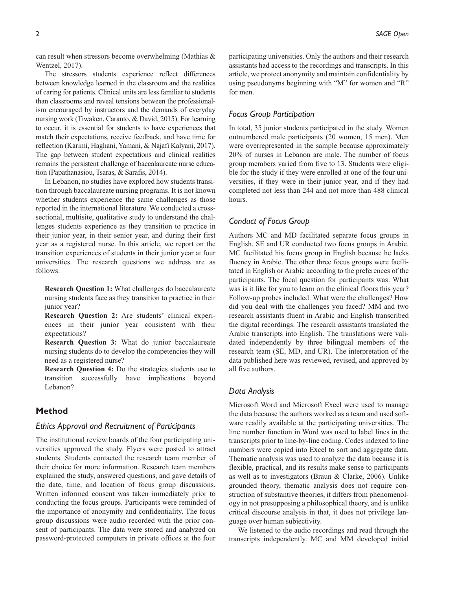The stressors students experience reflect differences between knowledge learned in the classroom and the realities of caring for patients. Clinical units are less familiar to students than classrooms and reveal tensions between the professionalism encouraged by instructors and the demands of everyday nursing work (Tiwaken, Caranto, & David, 2015). For learning to occur, it is essential for students to have experiences that match their expectations, receive feedback, and have time for reflection (Karimi, Haghani, Yamani, & Najafi Kalyani, 2017). The gap between student expectations and clinical realities remains the persistent challenge of baccalaureate nurse education (Papathanasiou, Tsaras, & Sarafis, 2014).

In Lebanon, no studies have explored how students transition through baccalaureate nursing programs. It is not known whether students experience the same challenges as those reported in the international literature. We conducted a crosssectional, multisite, qualitative study to understand the challenges students experience as they transition to practice in their junior year, in their senior year, and during their first year as a registered nurse. In this article, we report on the transition experiences of students in their junior year at four universities. The research questions we address are as follows:

**Research Question 1:** What challenges do baccalaureate nursing students face as they transition to practice in their junior year?

**Research Question 2:** Are students' clinical experiences in their junior year consistent with their expectations?

**Research Question 3:** What do junior baccalaureate nursing students do to develop the competencies they will need as a registered nurse?

**Research Question 4:** Do the strategies students use to transition successfully have implications beyond Lebanon?

# **Method**

### *Ethics Approval and Recruitment of Participants*

The institutional review boards of the four participating universities approved the study. Flyers were posted to attract students. Students contacted the research team member of their choice for more information. Research team members explained the study, answered questions, and gave details of the date, time, and location of focus group discussions. Written informed consent was taken immediately prior to conducting the focus groups. Participants were reminded of the importance of anonymity and confidentiality. The focus group discussions were audio recorded with the prior consent of participants. The data were stored and analyzed on password-protected computers in private offices at the four

participating universities. Only the authors and their research assistants had access to the recordings and transcripts. In this article, we protect anonymity and maintain confidentiality by using pseudonyms beginning with "M" for women and "R" for men.

# *Focus Group Participation*

In total, 35 junior students participated in the study. Women outnumbered male participants (20 women, 15 men). Men were overrepresented in the sample because approximately 20% of nurses in Lebanon are male. The number of focus group members varied from five to 13. Students were eligible for the study if they were enrolled at one of the four universities, if they were in their junior year, and if they had completed not less than 244 and not more than 488 clinical hours.

## *Conduct of Focus Group*

Authors MC and MD facilitated separate focus groups in English. SE and UR conducted two focus groups in Arabic. MC facilitated his focus group in English because he lacks fluency in Arabic. The other three focus groups were facilitated in English or Arabic according to the preferences of the participants. The focal question for participants was: What was is it like for you to learn on the clinical floors this year? Follow-up probes included: What were the challenges? How did you deal with the challenges you faced? MM and two research assistants fluent in Arabic and English transcribed the digital recordings. The research assistants translated the Arabic transcripts into English. The translations were validated independently by three bilingual members of the research team (SE, MD, and UR). The interpretation of the data published here was reviewed, revised, and approved by all five authors.

# *Data Analysis*

Microsoft Word and Microsoft Excel were used to manage the data because the authors worked as a team and used software readily available at the participating universities. The line number function in Word was used to label lines in the transcripts prior to line-by-line coding. Codes indexed to line numbers were copied into Excel to sort and aggregate data. Thematic analysis was used to analyze the data because it is flexible, practical, and its results make sense to participants as well as to investigators (Braun & Clarke, 2006). Unlike grounded theory, thematic analysis does not require construction of substantive theories, it differs from phenomenology in not presupposing a philosophical theory, and is unlike critical discourse analysis in that, it does not privilege language over human subjectivity.

We listened to the audio recordings and read through the transcripts independently. MC and MM developed initial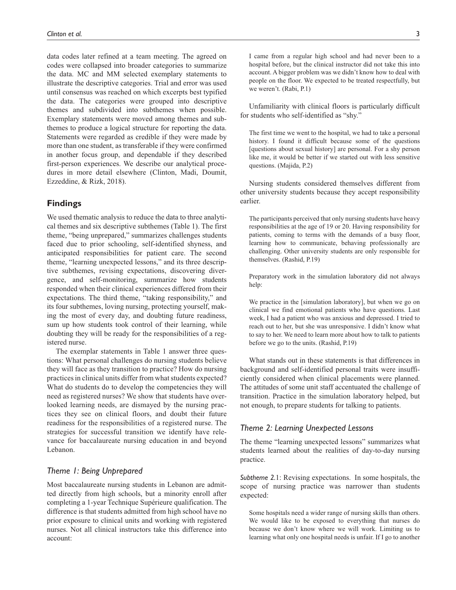data codes later refined at a team meeting. The agreed on codes were collapsed into broader categories to summarize the data. MC and MM selected exemplary statements to illustrate the descriptive categories. Trial and error was used until consensus was reached on which excerpts best typified the data. The categories were grouped into descriptive themes and subdivided into subthemes when possible. Exemplary statements were moved among themes and subthemes to produce a logical structure for reporting the data. Statements were regarded as credible if they were made by more than one student, as transferable if they were confirmed in another focus group, and dependable if they described first-person experiences. We describe our analytical procedures in more detail elsewhere (Clinton, Madi, Doumit, Ezzeddine, & Rizk, 2018).

# **Findings**

We used thematic analysis to reduce the data to three analytical themes and six descriptive subthemes (Table 1). The first theme, "being unprepared," summarizes challenges students faced due to prior schooling, self-identified shyness, and anticipated responsibilities for patient care. The second theme, "learning unexpected lessons," and its three descriptive subthemes, revising expectations, discovering divergence, and self-monitoring, summarize how students responded when their clinical experiences differed from their expectations. The third theme, "taking responsibility," and its four subthemes, loving nursing, protecting yourself, making the most of every day, and doubting future readiness, sum up how students took control of their learning, while doubting they will be ready for the responsibilities of a registered nurse.

The exemplar statements in Table 1 answer three questions: What personal challenges do nursing students believe they will face as they transition to practice? How do nursing practices in clinical units differ from what students expected? What do students do to develop the competencies they will need as registered nurses? We show that students have overlooked learning needs, are dismayed by the nursing practices they see on clinical floors, and doubt their future readiness for the responsibilities of a registered nurse. The strategies for successful transition we identify have relevance for baccalaureate nursing education in and beyond Lebanon.

## *Theme 1: Being Unprepared*

Most baccalaureate nursing students in Lebanon are admitted directly from high schools, but a minority enroll after completing a 1-year Technique Supérieure qualification. The difference is that students admitted from high school have no prior exposure to clinical units and working with registered nurses. Not all clinical instructors take this difference into account:

Unfamiliarity with clinical floors is particularly difficult for students who self-identified as "shy."

The first time we went to the hospital, we had to take a personal history. I found it difficult because some of the questions [questions about sexual history] are personal. For a shy person like me, it would be better if we started out with less sensitive questions. (Majida, P.2)

Nursing students considered themselves different from other university students because they accept responsibility earlier.

The participants perceived that only nursing students have heavy responsibilities at the age of 19 or 20. Having responsibility for patients, coming to terms with the demands of a busy floor, learning how to communicate, behaving professionally are challenging. Other university students are only responsible for themselves. (Rashid, P.19)

Preparatory work in the simulation laboratory did not always help:

We practice in the [simulation laboratory], but when we go on clinical we find emotional patients who have questions. Last week, I had a patient who was anxious and depressed. I tried to reach out to her, but she was unresponsive. I didn't know what to say to her. We need to learn more about how to talk to patients before we go to the units. (Rashid, P.19)

What stands out in these statements is that differences in background and self-identified personal traits were insufficiently considered when clinical placements were planned. The attitudes of some unit staff accentuated the challenge of transition. Practice in the simulation laboratory helped, but not enough, to prepare students for talking to patients.

# *Theme 2: Learning Unexpected Lessons*

The theme "learning unexpected lessons" summarizes what students learned about the realities of day-to-day nursing practice.

*Subtheme 2.*1: Revising expectations. In some hospitals, the scope of nursing practice was narrower than students expected:

Some hospitals need a wider range of nursing skills than others. We would like to be exposed to everything that nurses do because we don't know where we will work. Limiting us to learning what only one hospital needs is unfair. If I go to another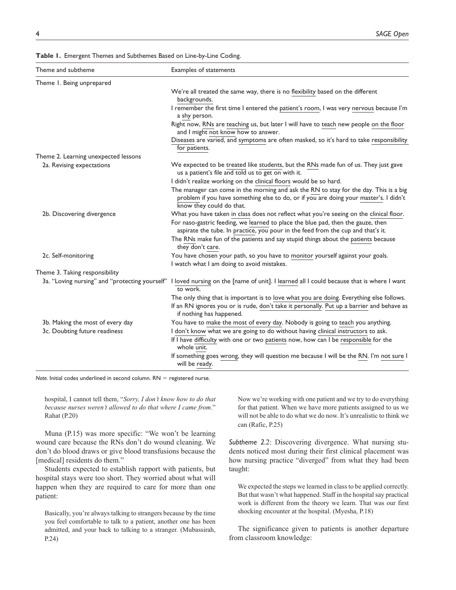|  |  | Table 1. Emergent Themes and Subthemes Based on Line-by-Line Coding. |  |  |  |  |  |
|--|--|----------------------------------------------------------------------|--|--|--|--|--|
|--|--|----------------------------------------------------------------------|--|--|--|--|--|

| Theme and subtheme                   | Examples of statements                                                                                                                                                                                     |  |  |
|--------------------------------------|------------------------------------------------------------------------------------------------------------------------------------------------------------------------------------------------------------|--|--|
| Theme 1. Being unprepared            |                                                                                                                                                                                                            |  |  |
|                                      | We're all treated the same way, there is no flexibility based on the different<br>backgrounds.                                                                                                             |  |  |
|                                      | I remember the first time I entered the patient's room, I was very nervous because I'm<br>a shy person.                                                                                                    |  |  |
|                                      | Right now, RNs are teaching us, but later I will have to teach new people on the floor<br>and I might not know how to answer.                                                                              |  |  |
|                                      | Diseases are varied, and symptoms are often masked, so it's hard to take responsibility<br>for patients.                                                                                                   |  |  |
| Theme 2. Learning unexpected lessons |                                                                                                                                                                                                            |  |  |
| 2a. Revising expectations            | We expected to be treated like students, but the RNs made fun of us. They just gave<br>us a patient's file and told us to get on with it.                                                                  |  |  |
|                                      | I didn't realize working on the clinical floors would be so hard.                                                                                                                                          |  |  |
|                                      | The manager can come in the morning and ask the RN to stay for the day. This is a big<br>problem if you have something else to do, or if you are doing your master's. I didn't<br>know they could do that. |  |  |
| 2b. Discovering divergence           | What you have taken in class does not reflect what you're seeing on the clinical floor.                                                                                                                    |  |  |
|                                      | For naso-gastric feeding, we learned to place the blue pad, then the gauze, then<br>aspirate the tube. In practice, you pour in the feed from the cup and that's it.                                       |  |  |
|                                      | The RNs make fun of the patients and say stupid things about the patients because<br>they don't care.                                                                                                      |  |  |
| 2c. Self-monitoring                  | You have chosen your path, so you have to monitor yourself against your goals.                                                                                                                             |  |  |
|                                      | I watch what I am doing to avoid mistakes.                                                                                                                                                                 |  |  |
| Theme 3. Taking responsibility       |                                                                                                                                                                                                            |  |  |
|                                      | 3a. "Loving nursing" and "protecting yourself" I loved nursing on the [name of unit]. I learned all I could because that is where I want<br>to work.                                                       |  |  |
|                                      | The only thing that is important is to love what you are doing. Everything else follows.                                                                                                                   |  |  |
|                                      | If an RN ignores you or is rude, don't take it personally. Put up a barrier and behave as<br>if nothing has happened.                                                                                      |  |  |
| 3b. Making the most of every day     | You have to make the most of every day. Nobody is going to teach you anything.                                                                                                                             |  |  |
| 3c. Doubting future readiness        | I don't know what we are going to do without having clinical instructors to ask.                                                                                                                           |  |  |
|                                      | If I have difficulty with one or two patients now, how can I be responsible for the<br>whole unit.                                                                                                         |  |  |
|                                      | If something goes wrong, they will question me because I will be the RN. I'm not sure I<br>will be ready.                                                                                                  |  |  |

*Note.* Initial codes underlined in second column. RN = registered nurse.

hospital, I cannot tell them, "*Sorry, I don't know how to do that because nurses weren't allowed to do that where I came from*." Rahat (P.20)

Muna (P.15) was more specific: "We won't be learning wound care because the RNs don't do wound cleaning. We don't do blood draws or give blood transfusions because the [medical] residents do them."

Students expected to establish rapport with patients, but hospital stays were too short. They worried about what will happen when they are required to care for more than one patient:

Basically, you're always talking to strangers because by the time you feel comfortable to talk to a patient, another one has been admitted, and your back to talking to a stranger. (Mubassirah, P.24)

Now we're working with one patient and we try to do everything for that patient. When we have more patients assigned to us we will not be able to do what we do now. It's unrealistic to think we can (Rafic, P.25)

*Subtheme 2.*2: Discovering divergence. What nursing students noticed most during their first clinical placement was how nursing practice "diverged" from what they had been taught:

We expected the steps we learned in class to be applied correctly. But that wasn't what happened. Staff in the hospital say practical work is different from the theory we learn. That was our first shocking encounter at the hospital. (Myesha, P.18)

The significance given to patients is another departure from classroom knowledge: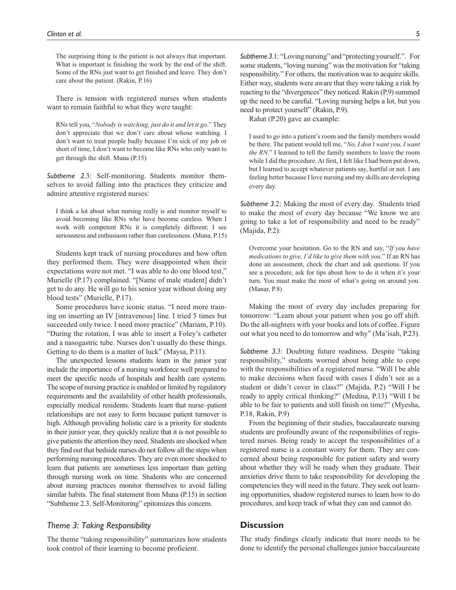The surprising thing is the patient is not always that important. What is important is finishing the work by the end of the shift. Some of the RNs just want to get finished and leave. They don't care about the patient. (Rakin, P.16)

There is tension with registered nurses when students want to remain faithful to what they were taught:

RNs tell you, "*Nobody is watching, just do it and let it go*." They don't appreciate that we don't care about whose watching. I don't want to treat people badly because I'm sick of my job or short of time, I don't want to become like RNs who only want to get through the shift. Muna (P.15)

*Subtheme 2.*3: Self-monitoring. Students monitor themselves to avoid falling into the practices they criticize and admire attentive registered nurses:

I think a lot about what nursing really is and monitor myself to avoid becoming like RNs who have become careless. When I work with competent RNs it is completely different; I see seriousness and enthusiasm rather than carelessness. (Muna, P.15)

Students kept track of nursing procedures and how often they performed them. They were disappointed when their expectations were not met. "I was able to do one blood test," Murielle (P.17) complained. "[Name of male student] didn't get to do any. He will go to his senior year without doing any blood tests" (Murielle, P.17).

Some procedures have iconic status. "I need more training on inserting an IV [intravenous] line. I tried 5 times but succeeded only twice. I need more practice" (Mariam, P.10). "During the rotation, I was able to insert a Foley's catheter and a nasogastric tube. Nurses don't usually do these things. Getting to do them is a matter of luck" (Maysa, P.11).

The unexpected lessons students learn in the junior year include the importance of a nursing workforce well prepared to meet the specific needs of hospitals and health care systems. The scope of nursing practice is enabled or limited by regulatory requirements and the availability of other health professionals, especially medical residents. Students learn that nurse–patient relationships are not easy to form because patient turnover is high. Although providing holistic care is a priority for students in their junior year, they quickly realize that it is not possible to give patients the attention they need. Students are shocked when they find out that bedside nurses do not follow all the steps when performing nursing procedures. They are even more shocked to learn that patients are sometimes less important than getting through nursing work on time. Students who are concerned about nursing practices monitor themselves to avoid falling similar habits. The final statement from Muna (P.15) in section "Subtheme 2.3. Self-Monitoring" epitomizes this concern.

## *Theme 3: Taking Responsibility*

The theme "taking responsibility" summarizes how students took control of their learning to become proficient.

*Subtheme 3.*1: "Loving nursing" and "protecting yourself.". For some students, "loving nursing" was the motivation for "taking responsibility." For others, the motivation was to acquire skills. Either way, students were aware that they were taking a risk by reacting to the "divergences" they noticed. Rakin (P.9) summed up the need to be careful. "Loving nursing helps a lot, but you need to protect yourself" (Rakin, P.9).

Rahat (P.20) gave an example:

I used to go into a patient's room and the family members would be there. The patient would tell me, "*No, I don't want you, I want the RN*." I learned to tell the family members to leave the room while I did the procedure. At first, I felt like I had been put down, but I learned to accept whatever patients say, hurtful or not. I am feeling better because I love nursing and my skills are developing every day.

*Subtheme 3.*2: Making the most of every day. Students tried to make the most of every day because "We know we are going to take a lot of responsibility and need to be ready" (Majida, P.2):

Overcome your hesitation. Go to the RN and say, "*If you have medications to give, I'd like to give them with you*." If an RN has done an assessment, check the chart and ask questions. If you see a procedure, ask for tips about how to do it when it's your turn. You must make the most of what's going on around you. (Manar, P.8)

Making the most of every day includes preparing for tomorrow: "Learn about your patient when you go off shift. Do the all-nighters with your books and lots of coffee. Figure out what you need to do tomorrow and why" (Ma'isah, P.23).

*Subtheme 3.*3: Doubting future readiness. Despite "taking responsibility," students worried about being able to cope with the responsibilities of a registered nurse. "Will I be able to make decisions when faced with cases I didn't see as a student or didn't cover in class?" (Majida, P.2) "Will I be ready to apply critical thinking?" (Medina, P.13) "Will I be able to be fair to patients and still finish on time?" (Myesha, P.18, Rakin, P.9)

From the beginning of their studies, baccalaureate nursing students are profoundly aware of the responsibilities of registered nurses. Being ready to accept the responsibilities of a registered nurse is a constant worry for them. They are concerned about being responsible for patient safety and worry about whether they will be ready when they graduate. Their anxieties drive them to take responsibility for developing the competencies they will need in the future. They seek out learning opportunities, shadow registered nurses to learn how to do procedures, and keep track of what they can and cannot do.

## **Discussion**

The study findings clearly indicate that more needs to be done to identify the personal challenges junior baccalaureate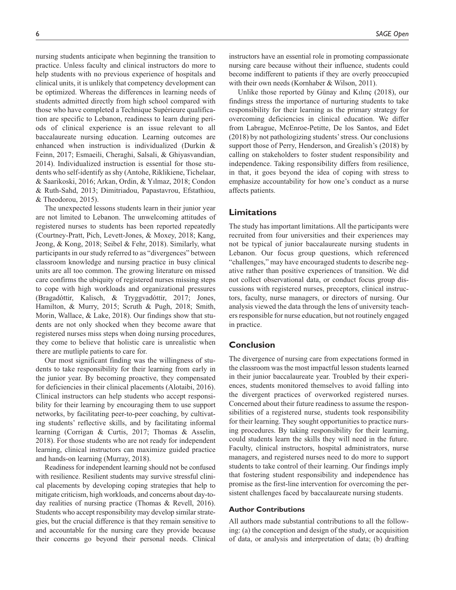nursing students anticipate when beginning the transition to practice. Unless faculty and clinical instructors do more to help students with no previous experience of hospitals and clinical units, it is unlikely that competency development can be optimized. Whereas the differences in learning needs of students admitted directly from high school compared with those who have completed a Technique Supérieure qualification are specific to Lebanon, readiness to learn during periods of clinical experience is an issue relevant to all baccalaureate nursing education. Learning outcomes are enhanced when instruction is individualized (Durkin & Feinn, 2017; Esmaeili, Cheraghi, Salsali, & Ghiyasvandian, 2014). Individualized instruction is essential for those students who self-identify as shy (Antohe, Riklikiene, Tichelaar, & Saarikoski, 2016; Arkan, Ordin, & Yılmaz, 2018; Condon & Ruth-Sahd, 2013; Dimitriadou, Papastavrou, Efstathiou, & Theodorou, 2015).

The unexpected lessons students learn in their junior year are not limited to Lebanon. The unwelcoming attitudes of registered nurses to students has been reported repeatedly (Courtney-Pratt, Pich, Levett-Jones, & Moxey, 2018; Kang, Jeong, & Kong, 2018; Seibel & Fehr, 2018). Similarly, what participants in our study referred to as "divergences" between classroom knowledge and nursing practice in busy clinical units are all too common. The growing literature on missed care confirms the ubiquity of registered nurses missing steps to cope with high workloads and organizational pressures (Bragadóttir, Kalisch, & Tryggvadóttir, 2017; Jones, Hamilton, & Murry, 2015; Scruth & Pugh, 2018; Smith, Morin, Wallace, & Lake, 2018). Our findings show that students are not only shocked when they become aware that registered nurses miss steps when doing nursing procedures, they come to believe that holistic care is unrealistic when there are mutliple patients to care for.

Our most significant finding was the willingness of students to take responsibility for their learning from early in the junior year. By becoming proactive, they compensated for deficiencies in their clinical placements (Alotaibi, 2016). Clinical instructors can help students who accept responsibility for their learning by encouraging them to use support networks, by facilitating peer-to-peer coaching, by cultivating students' reflective skills, and by facilitating informal learning (Corrigan & Curtis, 2017; Thomas & Asselin, 2018). For those students who are not ready for independent learning, clinical instructors can maximize guided practice and hands-on learning (Murray, 2018).

Readiness for independent learning should not be confused with resilience. Resilient students may survive stressful clinical placements by developing coping strategies that help to mitigate criticism, high workloads, and concerns about day-today realities of nursing practice (Thomas & Revell, 2016). Students who accept responsibility may develop similar strategies, but the crucial difference is that they remain sensitive to and accountable for the nursing care they provide because their concerns go beyond their personal needs. Clinical

instructors have an essential role in promoting compassionate nursing care because without their influence, students could become indifferent to patients if they are overly preoccupied with their own needs (Kornhaber & Wilson, 2011).

Unlike those reported by Günay and Kılınç (2018), our findings stress the importance of nurturing students to take responsibility for their learning as the primary strategy for overcoming deficiencies in clinical education. We differ from Labrague, McEnroe-Petitte, De los Santos, and Edet (2018) by not pathologizing students' stress. Our conclusions support those of Perry, Henderson, and Grealish's (2018) by calling on stakeholders to foster student responsibility and independence. Taking responsibility differs from resilience, in that, it goes beyond the idea of coping with stress to emphasize accountability for how one's conduct as a nurse affects patients.

## **Limitations**

The study has important limitations. All the participants were recruited from four universities and their experiences may not be typical of junior baccalaureate nursing students in Lebanon. Our focus group questions, which referenced "challenges," may have encouraged students to describe negative rather than positive experiences of transition. We did not collect observational data, or conduct focus group discussions with registered nurses, preceptors, clinical instructors, faculty, nurse managers, or directors of nursing. Our analysis viewed the data through the lens of university teachers responsible for nurse education, but not routinely engaged in practice.

# **Conclusion**

The divergence of nursing care from expectations formed in the classroom was the most impactful lesson students learned in their junior baccalaureate year. Troubled by their experiences, students monitored themselves to avoid falling into the divergent practices of overworked registered nurses. Concerned about their future readiness to assume the responsibilities of a registered nurse, students took responsibility for their learning. They sought opportunities to practice nursing procedures. By taking responsibility for their learning, could students learn the skills they will need in the future. Faculty, clinical instructors, hospital administrators, nurse managers, and registered nurses need to do more to support students to take control of their learning. Our findings imply that fostering student responsibility and independence has promise as the first-line intervention for overcoming the persistent challenges faced by baccalaureate nursing students.

#### **Author Contributions**

All authors made substantial contributions to all the following: (a) the conception and design of the study, or acquisition of data, or analysis and interpretation of data; (b) drafting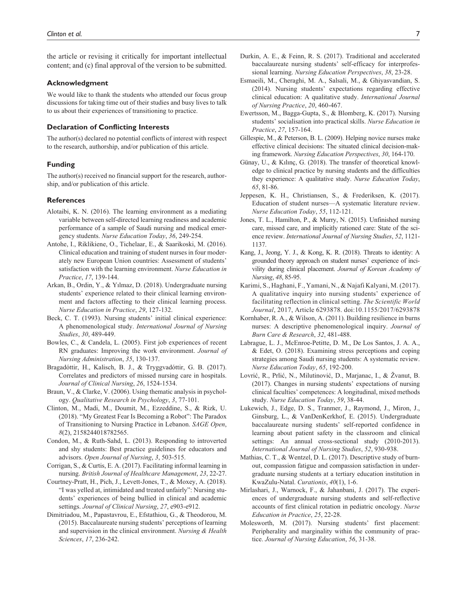the article or revising it critically for important intellectual content; and (c) final approval of the version to be submitted.

#### **Acknowledgment**

We would like to thank the students who attended our focus group discussions for taking time out of their studies and busy lives to talk to us about their experiences of transitioning to practice.

#### **Declaration of Conflicting Interests**

The author(s) declared no potential conflicts of interest with respect to the research, authorship, and/or publication of this article.

#### **Funding**

The author(s) received no financial support for the research, authorship, and/or publication of this article.

#### **References**

- Alotaibi, K. N. (2016). The learning environment as a mediating variable between self-directed learning readiness and academic performance of a sample of Saudi nursing and medical emergency students. *Nurse Education Today*, *36*, 249-254.
- Antohe, I., Riklikiene, O., Tichelaar, E., & Saarikoski, M. (2016). Clinical education and training of student nurses in four moderately new European Union countries: Assessment of students' satisfaction with the learning environment. *Nurse Education in Practice*, *17*, 139-144.
- Arkan, B., Ordin, Y., & Yılmaz, D. (2018). Undergraduate nursing students' experience related to their clinical learning environment and factors affecting to their clinical learning process. *Nurse Education in Practice*, *29*, 127-132.
- Beck, C. T. (1993). Nursing students' initial clinical experience: A phenomenological study. *International Journal of Nursing Studies*, *30*, 489-449.
- Bowles, C., & Candela, L. (2005). First job experiences of recent RN graduates: Improving the work environment. *Journal of Nursing Administration*, *35*, 130-137.
- Bragadóttir, H., Kalisch, B. J., & Tryggvadóttir, G. B. (2017). Correlates and predictors of missed nursing care in hospitals. *Journal of Clinical Nursing*, *26*, 1524-1534.
- Braun, V., & Clarke, V. (2006). Using thematic analysis in psychology. *Qualitative Research in Psychology*, *3*, 77-101.
- Clinton, M., Madi, M., Doumit, M., Ezzeddine, S., & Rizk, U. (2018). "My Greatest Fear Is Becoming a Robot": The Paradox of Transitioning to Nursing Practice in Lebanon. *SAGE Open*, *8*(2), 2158244018782565.
- Condon, M., & Ruth-Sahd, L. (2013). Responding to introverted and shy students: Best practice guidelines for educators and advisors. *Open Journal of Nursing*, *3*, 503-515.
- Corrigan, S., & Curtis, E. A. (2017). Facilitating informal learning in nursing. *British Journal of Healthcare Management*, *23*, 22-27.
- Courtney-Pratt, H., Pich, J., Levett-Jones, T., & Moxey, A. (2018). "I was yelled at, intimidated and treated unfairly": Nursing students' experiences of being bullied in clinical and academic settings. *Journal of Clinical Nursing*, *27*, e903-e912.
- Dimitriadou, M., Papastavrou, E., Efstathiou, G., & Theodorou, M. (2015). Baccalaureate nursing students' perceptions of learning and supervision in the clinical environment. *Nursing & Health Sciences*, *17*, 236-242.
- Durkin, A. E., & Feinn, R. S. (2017). Traditional and accelerated baccalaureate nursing students' self-efficacy for interprofessional learning. *Nursing Education Perspectives*, *38*, 23-28.
- Esmaeili, M., Cheraghi, M. A., Salsali, M., & Ghiyasvandian, S. (2014). Nursing students' expectations regarding effective clinical education: A qualitative study. *International Journal of Nursing Practice*, *20*, 460-467.
- Ewertsson, M., Bagga-Gupta, S., & Blomberg, K. (2017). Nursing students' socialisation into practical skills. *Nurse Education in Practice*, *27*, 157-164.
- Gillespie, M., & Peterson, B. L. (2009). Helping novice nurses make effective clinical decisions: The situated clinical decision-making framework. *Nursing Education Perspectives*, *30*, 164-170.
- Günay, U., & Kılınç, G. (2018). The transfer of theoretical knowledge to clinical practice by nursing students and the difficulties they experience: A qualitative study. *Nurse Education Today*, *65*, 81-86.
- Jeppesen, K. H., Christiansen, S., & Frederiksen, K. (2017). Education of student nurses—A systematic literature review. *Nurse Education Today*, *55*, 112-121.
- Jones, T. L., Hamilton, P., & Murry, N. (2015). Unfinished nursing care, missed care, and implicitly rationed care: State of the science review. *International Journal of Nursing Studies*, *52*, 1121- 1137.
- Kang, J., Jeong, Y. J., & Kong, K. R. (2018). Threats to identity: A grounded theory approach on student nurses' experience of incivility during clinical placement. *Journal of Korean Academy of Nursing*, *48*, 85-95.
- Karimi, S., Haghani, F., Yamani, N., & Najafi Kalyani, M. (2017). A qualitative inquiry into nursing students' experience of facilitating reflection in clinical setting. *The Scientific World Journal*, 2017, Article 6293878. doi:10.1155/2017/6293878
- Kornhaber, R. A., & Wilson, A. (2011). Building resilience in burns nurses: A descriptive phenomenological inquiry. *Journal of Burn Care & Research*, *32*, 481-488.
- Labrague, L. J., McEnroe-Petitte, D. M., De Los Santos, J. A. A., & Edet, O. (2018). Examining stress perceptions and coping strategies among Saudi nursing students: A systematic review. *Nurse Education Today*, *65*, 192-200.
- Lovrić, R., Prlić, N., Milutinović, D., Marjanac, I., & Žvanut, B. (2017). Changes in nursing students' expectations of nursing clinical faculties' competences: A longitudinal, mixed methods study. *Nurse Education Today*, *59*, 38-44.
- Lukewich, J., Edge, D. S., Tranmer, J., Raymond, J., Miron, J., Ginsburg, L., & VanDenKerkhof, E. (2015). Undergraduate baccalaureate nursing students' self-reported confidence in learning about patient safety in the classroom and clinical settings: An annual cross-sectional study (2010-2013). *International Journal of Nursing Studies*, *52*, 930-938.
- Mathias, C. T., & Wentzel, D. L. (2017). Descriptive study of burnout, compassion fatigue and compassion satisfaction in undergraduate nursing students at a tertiary education institution in KwaZulu-Natal. *Curationis*, *40*(1), 1-6.
- Mirlashari, J., Warnock, F., & Jahanbani, J. (2017). The experiences of undergraduate nursing students and self-reflective accounts of first clinical rotation in pediatric oncology. *Nurse Education in Practice*, *25*, 22-28.
- Molesworth, M. (2017). Nursing students' first placement: Peripherality and marginality within the community of practice. *Journal of Nursing Education*, *56*, 31-38.